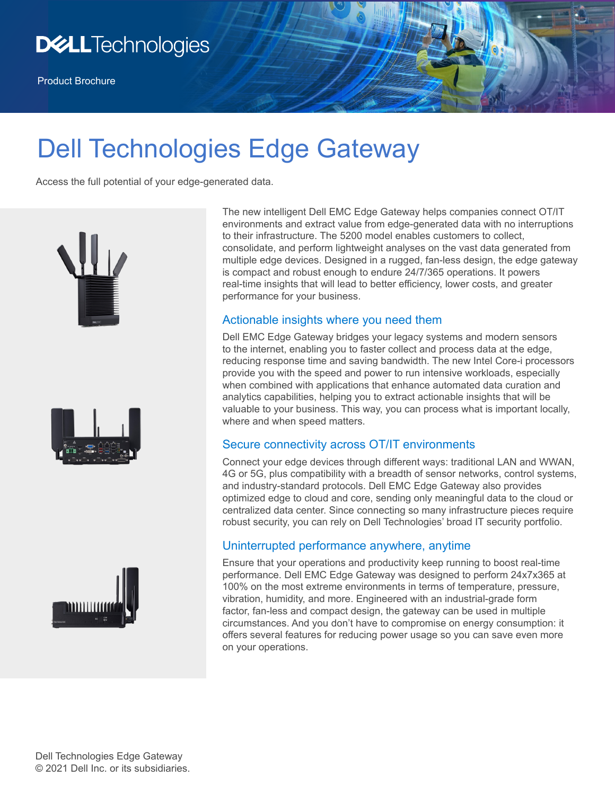

# Dell Technologies Edge Gateway

Access the full potential of your edge-generated data.







The new intelligent Dell EMC Edge Gateway helps companies connect OT/IT environments and extract value from edge-generated data with no interruptions to their infrastructure. The 5200 model enables customers to collect, consolidate, and perform lightweight analyses on the vast data generated from multiple edge devices. Designed in a rugged, fan-less design, the edge gateway is compact and robust enough to endure 24/7/365 operations. It powers real-time insights that will lead to better efficiency, lower costs, and greater performance for your business.

#### Actionable insights where you need them

Dell EMC Edge Gateway bridges your legacy systems and modern sensors to the internet, enabling you to faster collect and process data at the edge, reducing response time and saving bandwidth. The new Intel Core-i processors provide you with the speed and power to run intensive workloads, especially when combined with applications that enhance automated data curation and analytics capabilities, helping you to extract actionable insights that will be valuable to your business. This way, you can process what is important locally, where and when speed matters.

### Secure connectivity across OT/IT environments

Connect your edge devices through different ways: traditional LAN and WWAN, 4G or 5G, plus compatibility with a breadth of sensor networks, control systems, and industry-standard protocols. Dell EMC Edge Gateway also provides optimized edge to cloud and core, sending only meaningful data to the cloud or centralized data center. Since connecting so many infrastructure pieces require robust security, you can rely on Dell Technologies' broad IT security portfolio.

### Uninterrupted performance anywhere, anytime

Ensure that your operations and productivity keep running to boost real-time performance. Dell EMC Edge Gateway was designed to perform 24x7x365 at 100% on the most extreme environments in terms of temperature, pressure, vibration, humidity, and more. Engineered with an industrial-grade form factor, fan-less and compact design, the gateway can be used in multiple circumstances. And you don't have to compromise on energy consumption: it offers several features for reducing power usage so you can save even more on your operations.